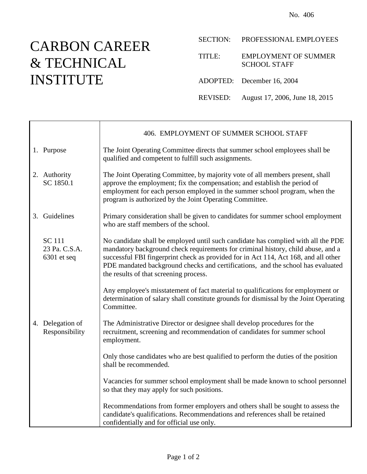## CARBON CAREER & TECHNICAL INSTITUTE

 $\top$ 

 $\Gamma$ 

|          | SECTION: PROFESSIONAL EMPLOYEES                    |
|----------|----------------------------------------------------|
| TITLE:   | <b>EMPLOYMENT OF SUMMER</b><br><b>SCHOOL STAFF</b> |
|          | ADOPTED: December 16, 2004                         |
| REVISED: | August 17, 2006, June 18, 2015                     |

|                                                 | 406. EMPLOYMENT OF SUMMER SCHOOL STAFF                                                                                                                                                                                                                                                                                                                                                    |  |  |
|-------------------------------------------------|-------------------------------------------------------------------------------------------------------------------------------------------------------------------------------------------------------------------------------------------------------------------------------------------------------------------------------------------------------------------------------------------|--|--|
| 1. Purpose                                      | The Joint Operating Committee directs that summer school employees shall be<br>qualified and competent to fulfill such assignments.                                                                                                                                                                                                                                                       |  |  |
| 2. Authority<br>SC 1850.1                       | The Joint Operating Committee, by majority vote of all members present, shall<br>approve the employment; fix the compensation; and establish the period of<br>employment for each person employed in the summer school program, when the<br>program is authorized by the Joint Operating Committee.                                                                                       |  |  |
| 3. Guidelines                                   | Primary consideration shall be given to candidates for summer school employment<br>who are staff members of the school.                                                                                                                                                                                                                                                                   |  |  |
| <b>SC</b> 111<br>23 Pa. C.S.A.<br>$6301$ et seq | No candidate shall be employed until such candidate has complied with all the PDE<br>mandatory background check requirements for criminal history, child abuse, and a<br>successful FBI fingerprint check as provided for in Act 114, Act 168, and all other<br>PDE mandated background checks and certifications, and the school has evaluated<br>the results of that screening process. |  |  |
|                                                 | Any employee's misstatement of fact material to qualifications for employment or<br>determination of salary shall constitute grounds for dismissal by the Joint Operating<br>Committee.                                                                                                                                                                                                   |  |  |
| 4. Delegation of<br>Responsibility              | The Administrative Director or designee shall develop procedures for the<br>recruitment, screening and recommendation of candidates for summer school<br>employment.                                                                                                                                                                                                                      |  |  |
|                                                 | Only those candidates who are best qualified to perform the duties of the position<br>shall be recommended.                                                                                                                                                                                                                                                                               |  |  |
|                                                 | Vacancies for summer school employment shall be made known to school personnel<br>so that they may apply for such positions.                                                                                                                                                                                                                                                              |  |  |
|                                                 | Recommendations from former employers and others shall be sought to assess the<br>candidate's qualifications. Recommendations and references shall be retained<br>confidentially and for official use only.                                                                                                                                                                               |  |  |